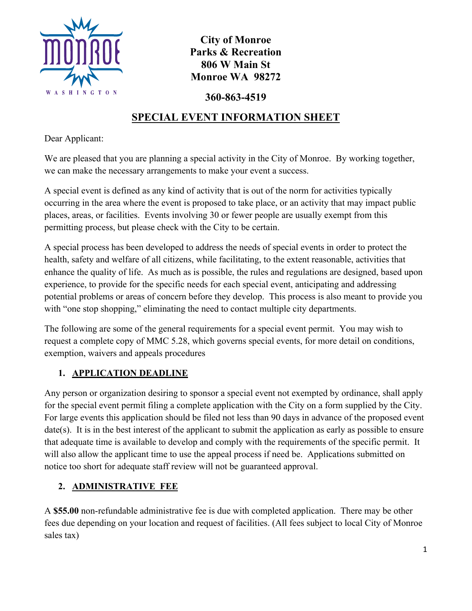

**City of Monroe Parks & Recreation 806 W Main St Monroe WA 98272**

**360-863-4519**

# **SPECIAL EVENT INFORMATION SHEET**

Dear Applicant:

We are pleased that you are planning a special activity in the City of Monroe. By working together, we can make the necessary arrangements to make your event a success.

A special event is defined as any kind of activity that is out of the norm for activities typically occurring in the area where the event is proposed to take place, or an activity that may impact public places, areas, or facilities. Events involving 30 or fewer people are usually exempt from this permitting process, but please check with the City to be certain.

A special process has been developed to address the needs of special events in order to protect the health, safety and welfare of all citizens, while facilitating, to the extent reasonable, activities that enhance the quality of life. As much as is possible, the rules and regulations are designed, based upon experience, to provide for the specific needs for each special event, anticipating and addressing potential problems or areas of concern before they develop. This process is also meant to provide you with "one stop shopping," eliminating the need to contact multiple city departments.

The following are some of the general requirements for a special event permit. You may wish to request a complete copy of MMC 5.28, which governs special events, for more detail on conditions, exemption, waivers and appeals procedures

# **1. APPLICATION DEADLINE**

Any person or organization desiring to sponsor a special event not exempted by ordinance, shall apply for the special event permit filing a complete application with the City on a form supplied by the City. For large events this application should be filed not less than 90 days in advance of the proposed event date(s). It is in the best interest of the applicant to submit the application as early as possible to ensure that adequate time is available to develop and comply with the requirements of the specific permit. It will also allow the applicant time to use the appeal process if need be. Applications submitted on notice too short for adequate staff review will not be guaranteed approval.

# **2. ADMINISTRATIVE FEE**

A **\$55.00** non-refundable administrative fee is due with completed application. There may be other fees due depending on your location and request of facilities. (All fees subject to local City of Monroe sales tax)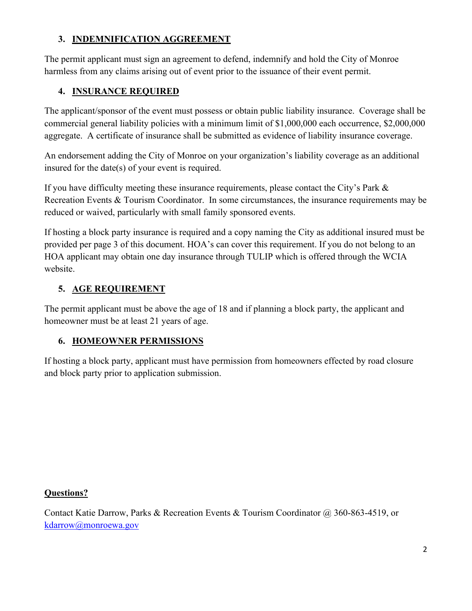## **3. INDEMNIFICATION AGGREEMENT**

The permit applicant must sign an agreement to defend, indemnify and hold the City of Monroe harmless from any claims arising out of event prior to the issuance of their event permit.

# **4. INSURANCE REQUIRED**

The applicant/sponsor of the event must possess or obtain public liability insurance. Coverage shall be commercial general liability policies with a minimum limit of \$1,000,000 each occurrence, \$2,000,000 aggregate. A certificate of insurance shall be submitted as evidence of liability insurance coverage.

An endorsement adding the City of Monroe on your organization's liability coverage as an additional insured for the date(s) of your event is required.

If you have difficulty meeting these insurance requirements, please contact the City's Park & Recreation Events & Tourism Coordinator. In some circumstances, the insurance requirements may be reduced or waived, particularly with small family sponsored events.

If hosting a block party insurance is required and a copy naming the City as additional insured must be provided per page 3 of this document. HOA's can cover this requirement. If you do not belong to an HOA applicant may obtain one day insurance through TULIP which is offered through the WCIA website.

# **5. AGE REQUIREMENT**

The permit applicant must be above the age of 18 and if planning a block party, the applicant and homeowner must be at least 21 years of age.

# **6. HOMEOWNER PERMISSIONS**

If hosting a block party, applicant must have permission from homeowners effected by road closure and block party prior to application submission.

### **Questions?**

Contact Katie Darrow, Parks & Recreation Events & Tourism Coordinator @ 360-863-4519, or kdarrow@monroewa.gov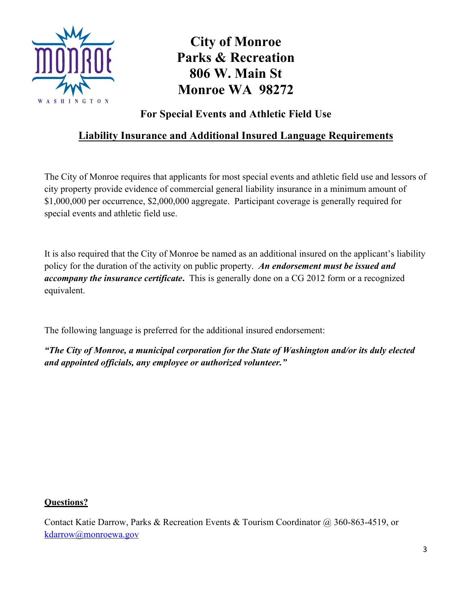

# **City of Monroe Parks & Recreation 806 W. Main St Monroe WA 98272**

**For Special Events and Athletic Field Use**

# **Liability Insurance and Additional Insured Language Requirements**

The City of Monroe requires that applicants for most special events and athletic field use and lessors of city property provide evidence of commercial general liability insurance in a minimum amount of \$1,000,000 per occurrence, \$2,000,000 aggregate. Participant coverage is generally required for special events and athletic field use.

It is also required that the City of Monroe be named as an additional insured on the applicant's liability policy for the duration of the activity on public property. *An endorsement must be issued and accompany the insurance certificate***.** This is generally done on a CG 2012 form or a recognized equivalent.

The following language is preferred for the additional insured endorsement:

*"The City of Monroe, a municipal corporation for the State of Washington and/or its duly elected and appointed officials, any employee or authorized volunteer."*

### **Questions?**

Contact Katie Darrow, Parks & Recreation Events & Tourism Coordinator @ 360-863-4519, or kdarrow@monroewa.gov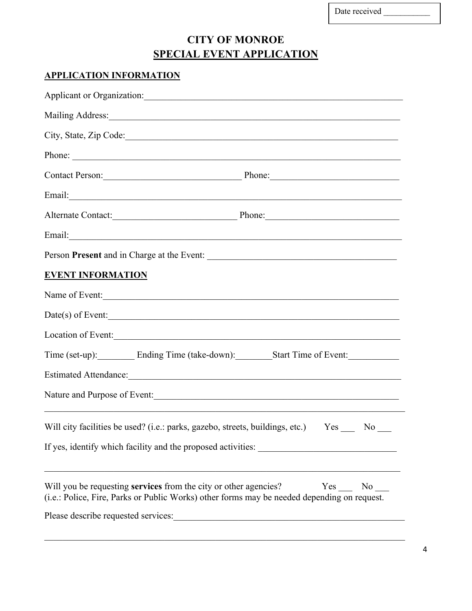| Date received |  |  |
|---------------|--|--|
|               |  |  |

# **CITY OF MONROE SPECIAL EVENT APPLICATION**

# **APPLICATION INFORMATION**

|                                                                  | Applicant or Organization: Manual Applicant or Organization:                                                                                                                                                                   |  |  |  |
|------------------------------------------------------------------|--------------------------------------------------------------------------------------------------------------------------------------------------------------------------------------------------------------------------------|--|--|--|
|                                                                  | Mailing Address: 1988 Mailing Address: 1988 Mailing Address: 1988 Mailing Address: 1988 Mailing Address: 1988 Mailing Address: 1988 Mailing Address: 1988 Mailing Address: 1988 Mailing Address: 1988 Mailing Address: 1988 Ma |  |  |  |
|                                                                  | City, State, Zip Code:                                                                                                                                                                                                         |  |  |  |
|                                                                  | Phone:                                                                                                                                                                                                                         |  |  |  |
|                                                                  | Contact Person: Phone: Phone:                                                                                                                                                                                                  |  |  |  |
|                                                                  |                                                                                                                                                                                                                                |  |  |  |
|                                                                  | Alternate Contact: Phone: Phone:                                                                                                                                                                                               |  |  |  |
|                                                                  |                                                                                                                                                                                                                                |  |  |  |
|                                                                  |                                                                                                                                                                                                                                |  |  |  |
| <b>EVENT INFORMATION</b>                                         |                                                                                                                                                                                                                                |  |  |  |
|                                                                  | Name of Event:                                                                                                                                                                                                                 |  |  |  |
|                                                                  | $Date(s)$ of Event:                                                                                                                                                                                                            |  |  |  |
|                                                                  | Location of Event:                                                                                                                                                                                                             |  |  |  |
| Time (set-up): Ending Time (take-down): Start Time of Event:     |                                                                                                                                                                                                                                |  |  |  |
|                                                                  |                                                                                                                                                                                                                                |  |  |  |
|                                                                  | Nature and Purpose of Event: 1988. The Second State of Event: 1988. The Second State of Event: 1988. The Second State of Event: 1988. The Second State of Event: 1988. The Second State of State of State of State of State of |  |  |  |
|                                                                  | Will city facilities be used? (i.e.: parks, gazebo, streets, buildings, etc.) Yes<br>N <sub>o</sub>                                                                                                                            |  |  |  |
| If yes, identify which facility and the proposed activities:     |                                                                                                                                                                                                                                |  |  |  |
| Will you be requesting services from the city or other agencies? | Yes<br>No no<br>(i.e.: Police, Fire, Parks or Public Works) other forms may be needed depending on request.                                                                                                                    |  |  |  |
| Please describe requested services:                              |                                                                                                                                                                                                                                |  |  |  |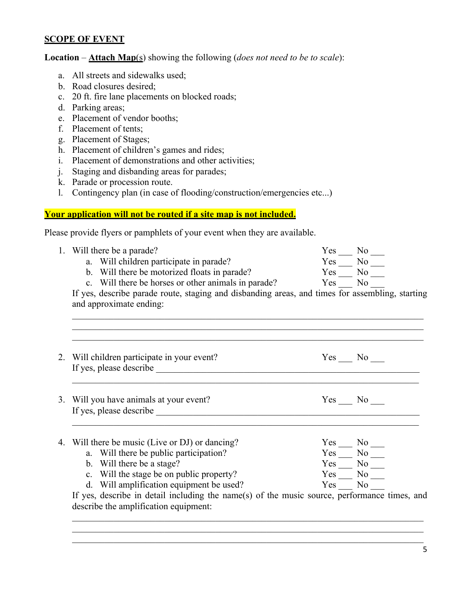#### **SCOPE OF EVENT**

Location – **Attach Map**(s) showing the following (*does not need to be to scale*):

- a. All streets and sidewalks used;
- b. Road closures desired;
- c. 20 ft. fire lane placements on blocked roads;
- d. Parking areas;
- e. Placement of vendor booths;
- f. Placement of tents;
- g. Placement of Stages;
- h. Placement of children's games and rides;
- i. Placement of demonstrations and other activities;
- j. Staging and disbanding areas for parades;
- k. Parade or procession route.
- l. Contingency plan (in case of flooding/construction/emergencies etc...)

#### **Your application will not be routed if a site map is not included.**

Please provide flyers or pamphlets of your event when they are available.

|  | 1. Will there be a parade?                                                                                                                                                                                                                                                    | $\begin{array}{l} {\rm Yes} \\\rm Yes \overline{~~{\rm No}\,}\\ {\rm Yes} \overline{~~\,~~{\rm No}\,}\\ {\rm No}\,\\ \end{array}$ |  |  |  |
|--|-------------------------------------------------------------------------------------------------------------------------------------------------------------------------------------------------------------------------------------------------------------------------------|-----------------------------------------------------------------------------------------------------------------------------------|--|--|--|
|  | a. Will children participate in parade?                                                                                                                                                                                                                                       |                                                                                                                                   |  |  |  |
|  | b. Will there be motorized floats in parade?                                                                                                                                                                                                                                  |                                                                                                                                   |  |  |  |
|  | c. Will there be horses or other animals in parade? Yes No                                                                                                                                                                                                                    |                                                                                                                                   |  |  |  |
|  | If yes, describe parade route, staging and disbanding areas, and times for assembling, starting<br>and approximate ending:                                                                                                                                                    |                                                                                                                                   |  |  |  |
|  | 2. Will children participate in your event?<br>If yes, please describe the same state of the state of the state of the state of the state of the state of the state of the state of the state of the state of the state of the state of the state of the state of the state o | $Yes$ No $\_\_$                                                                                                                   |  |  |  |
|  | 3. Will you have animals at your event?                                                                                                                                                                                                                                       | $Yes$ No $\_\_$                                                                                                                   |  |  |  |
|  | 4. Will there be music (Live or DJ) or dancing?                                                                                                                                                                                                                               |                                                                                                                                   |  |  |  |
|  | a. Will there be public participation?                                                                                                                                                                                                                                        | $Yes$ $Yes$ $Yes$ $Yes$ $Yes$ $Yes$ $\frac{No}{No}$ $\frac{N}{No}$                                                                |  |  |  |
|  | b. Will there be a stage?                                                                                                                                                                                                                                                     |                                                                                                                                   |  |  |  |
|  | c. Will the stage be on public property?                                                                                                                                                                                                                                      |                                                                                                                                   |  |  |  |
|  | d. Will amplification equipment be used?                                                                                                                                                                                                                                      | Yes No                                                                                                                            |  |  |  |
|  | If yes, describe in detail including the name(s) of the music source, performance times, and                                                                                                                                                                                  |                                                                                                                                   |  |  |  |
|  | describe the amplification equipment:                                                                                                                                                                                                                                         |                                                                                                                                   |  |  |  |
|  |                                                                                                                                                                                                                                                                               |                                                                                                                                   |  |  |  |
|  |                                                                                                                                                                                                                                                                               |                                                                                                                                   |  |  |  |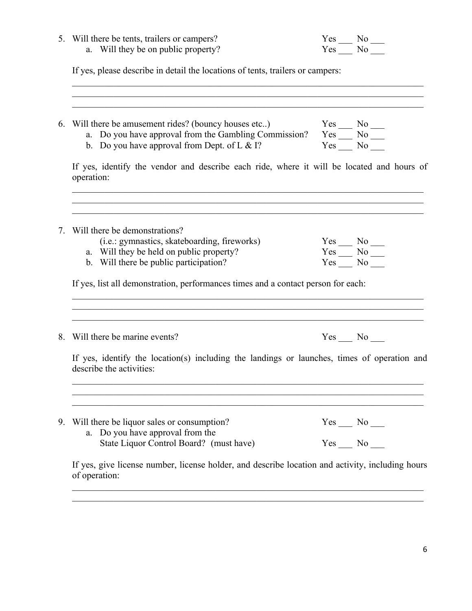|    | 5. Will there be tents, trailers or campers?                                                                                                                                                                                                                                                           |                                                                                                                                                                                                                            |  |
|----|--------------------------------------------------------------------------------------------------------------------------------------------------------------------------------------------------------------------------------------------------------------------------------------------------------|----------------------------------------------------------------------------------------------------------------------------------------------------------------------------------------------------------------------------|--|
|    | a. Will they be on public property?                                                                                                                                                                                                                                                                    | $Yes$ No $\overline{\phantom{1}}$                                                                                                                                                                                          |  |
|    | If yes, please describe in detail the locations of tents, trailers or campers:                                                                                                                                                                                                                         |                                                                                                                                                                                                                            |  |
| 6. | Will there be amusement rides? (bouncy houses etc)<br>11 there be amusement rides? (bouncy houses etc) Yes $\frac{1}{100}$ No $\frac{1}{100}$<br>2. Do you have approval from the Gambling Commission? Yes $\frac{1}{100}$ No $\frac{1}{100}$<br>12. Do you have approval from Dept. of L & I? Yes $\$ |                                                                                                                                                                                                                            |  |
|    | If yes, identify the vendor and describe each ride, where it will be located and hours of<br>operation:                                                                                                                                                                                                |                                                                                                                                                                                                                            |  |
| 7. | Will there be demonstrations?<br>(i.e.: gymnastics, skateboarding, fireworks)                                                                                                                                                                                                                          |                                                                                                                                                                                                                            |  |
|    | a. Will they be held on public property?<br>b. Will there be public participation?                                                                                                                                                                                                                     | $\begin{array}{l} {\rm Yes} \quad \quad {\rm No} \quad \quad \\\ {\rm Yes} \quad \quad {\rm No} \quad \quad \\\ {\rm Yes} \quad \quad {\rm No} \quad \quad \\\ {\rm Yes} \quad \quad {\rm No} \quad \quad \\\ \end{array}$ |  |
|    | If yes, list all demonstration, performances times and a contact person for each:                                                                                                                                                                                                                      |                                                                                                                                                                                                                            |  |
| 8. | Will there be marine events?                                                                                                                                                                                                                                                                           | $Yes \_\_ No \_\_$                                                                                                                                                                                                         |  |
|    | If yes, identify the location(s) including the landings or launches, times of operation and<br>describe the activities:                                                                                                                                                                                |                                                                                                                                                                                                                            |  |
| 9. | Will there be liquor sales or consumption?<br>a. Do you have approval from the                                                                                                                                                                                                                         | $Yes \_\_ No \_\_$                                                                                                                                                                                                         |  |
|    | State Liquor Control Board? (must have)                                                                                                                                                                                                                                                                | $Yes$ No $\_\_$                                                                                                                                                                                                            |  |
|    | If yes, give license number, license holder, and describe location and activity, including hours<br>of operation:                                                                                                                                                                                      |                                                                                                                                                                                                                            |  |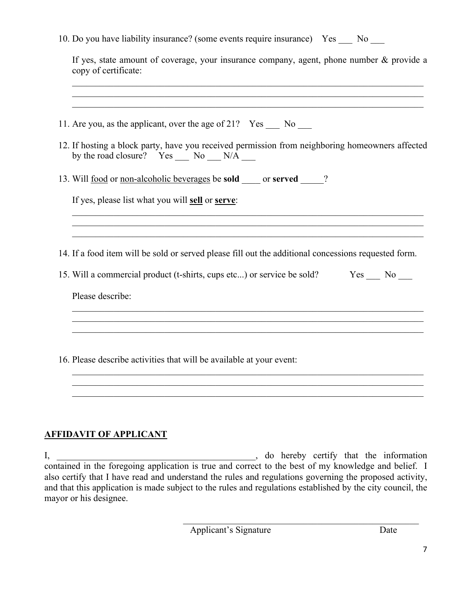### **AFFIDAVIT OF APPLICANT**

I, \_\_\_\_\_\_\_\_\_\_\_\_\_\_\_\_\_\_\_\_\_\_\_\_\_\_\_\_\_\_\_\_\_\_\_\_\_\_\_\_\_\_\_, do hereby certify that the information contained in the foregoing application is true and correct to the best of my knowledge and belief. I also certify that I have read and understand the rules and regulations governing the proposed activity, and that this application is made subject to the rules and regulations established by the city council, the mayor or his designee.

Applicant's Signature Date